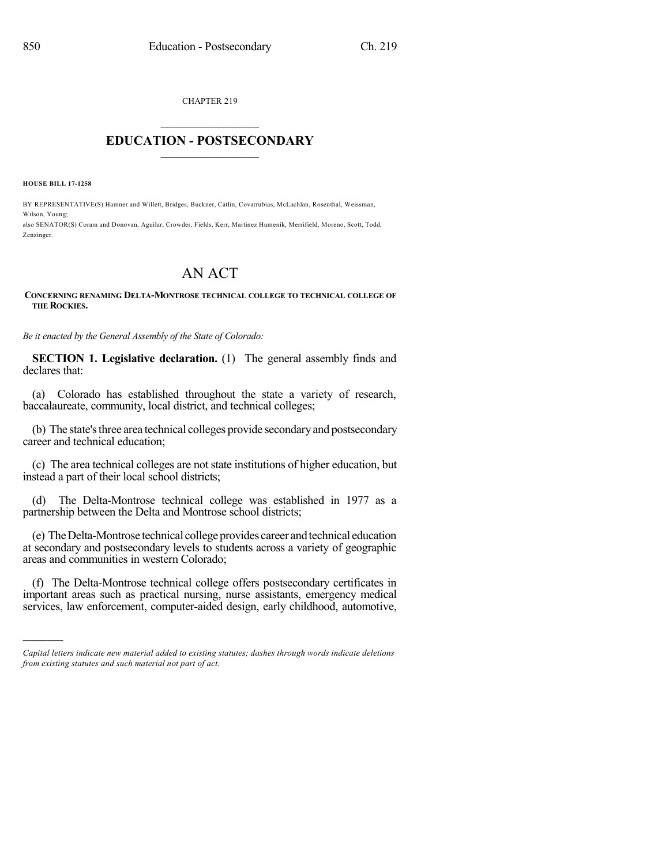CHAPTER 219  $\overline{\phantom{a}}$  . The set of the set of the set of the set of the set of the set of the set of the set of the set of the set of the set of the set of the set of the set of the set of the set of the set of the set of the set o

## **EDUCATION - POSTSECONDARY**  $\_$   $\_$   $\_$   $\_$   $\_$   $\_$   $\_$   $\_$   $\_$

**HOUSE BILL 17-1258**

)))))

BY REPRESENTATIVE(S) Hamner and Willett, Bridges, Buckner, Catlin, Covarrubias, McLachlan, Rosenthal, Weissman, Wilson, Young; also SENATOR(S) Coram and Donovan, Aguilar, Crowder, Fields, Kerr, Martinez Humenik, Merrifield, Moreno, Scott, Todd, Zenzinger.

## AN ACT

## **CONCERNING RENAMING DELTA-MONTROSE TECHNICAL COLLEGE TO TECHNICAL COLLEGE OF THE ROCKIES.**

*Be it enacted by the General Assembly of the State of Colorado:*

**SECTION 1. Legislative declaration.** (1) The general assembly finds and declares that:

(a) Colorado has established throughout the state a variety of research, baccalaureate, community, local district, and technical colleges;

(b) The state's three area technical colleges provide secondary and postsecondary career and technical education;

(c) The area technical colleges are not state institutions of higher education, but instead a part of their local school districts;

(d) The Delta-Montrose technical college was established in 1977 as a partnership between the Delta and Montrose school districts;

(e) TheDelta-Montrose technical collegeprovides career andtechnical education at secondary and postsecondary levels to students across a variety of geographic areas and communities in western Colorado;

(f) The Delta-Montrose technical college offers postsecondary certificates in important areas such as practical nursing, nurse assistants, emergency medical services, law enforcement, computer-aided design, early childhood, automotive,

*Capital letters indicate new material added to existing statutes; dashes through words indicate deletions from existing statutes and such material not part of act.*